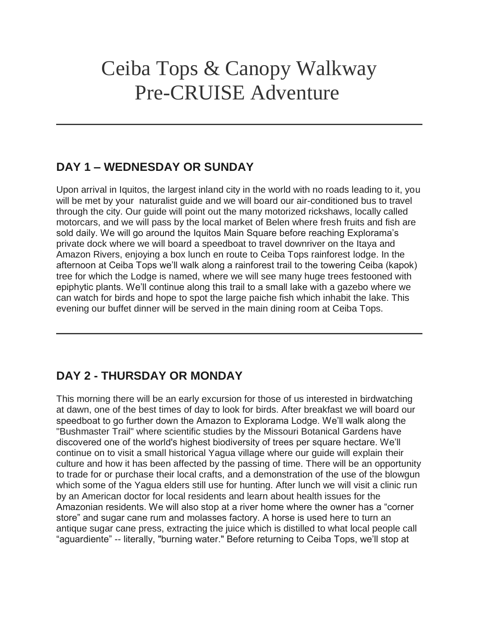# Ceiba Tops & Canopy Walkway Pre-CRUISE Adventure

### **DAY 1 – WEDNESDAY OR SUNDAY**

Upon arrival in Iquitos, the largest inland city in the world with no roads leading to it, you will be met by your naturalist guide and we will board our air-conditioned bus to travel through the city. Our guide will point out the many motorized rickshaws, locally called motorcars, and we will pass by the local market of Belen where fresh fruits and fish are sold daily. We will go around the Iquitos Main Square before reaching Explorama's private dock where we will board a speedboat to travel downriver on the Itaya and Amazon Rivers, enjoying a box lunch en route to Ceiba Tops rainforest lodge. In the afternoon at Ceiba Tops we'll walk along a rainforest trail to the towering Ceiba (kapok) tree for which the Lodge is named, where we will see many huge trees festooned with epiphytic plants. We'll continue along this trail to a small lake with a gazebo where we can watch for birds and hope to spot the large paiche fish which inhabit the lake. This evening our buffet dinner will be served in the main dining room at Ceiba Tops.

### **DAY 2 - THURSDAY OR MONDAY**

This morning there will be an early excursion for those of us interested in birdwatching at dawn, one of the best times of day to look for birds. After breakfast we will board our speedboat to go further down the Amazon to Explorama Lodge. We'll walk along the "Bushmaster Trail" where scientific studies by the Missouri Botanical Gardens have discovered one of the world's highest biodiversity of trees per square hectare. We'll continue on to visit a small historical Yagua village where our guide will explain their culture and how it has been affected by the passing of time. There will be an opportunity to trade for or purchase their local crafts, and a demonstration of the use of the blowgun which some of the Yagua elders still use for hunting. After lunch we will visit a clinic run by an American doctor for local residents and learn about health issues for the Amazonian residents. We will also stop at a river home where the owner has a "corner store" and sugar cane rum and molasses factory. A horse is used here to turn an antique sugar cane press, extracting the juice which is distilled to what local people call "aguardiente" -- literally, "burning water." Before returning to Ceiba Tops, we'll stop at